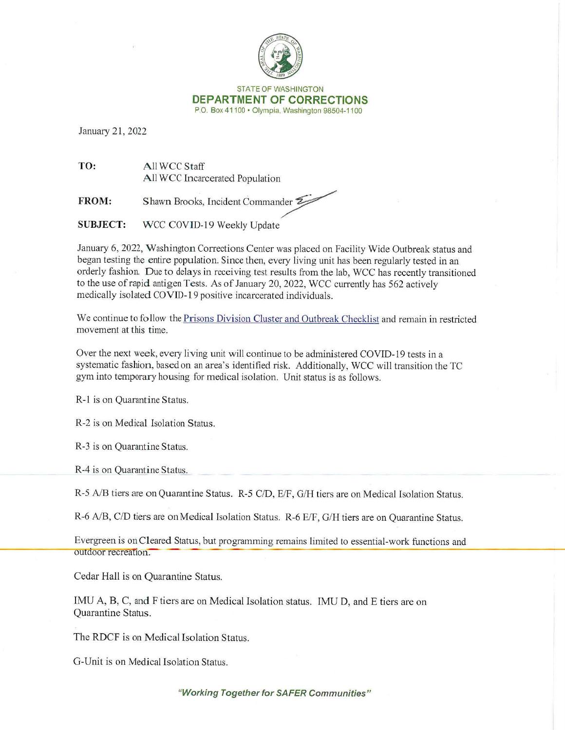

STATE OF WASHINGTON **DEPARTMENT OF CORRECTIONS**  P.O. Box 4 1100 • Olympia, Washington 98504-1100

January 21, 2022

**TO:** All WCe Staff **All WCC Incarcerated Population** 

**FROM:** Shawn Brooks, Incident Commander

**SUBJECT:** WCC COVID-19 Weekly Update

January 6, 2022, Washington Corrections Center was placed on Facility Wide Outbreak status and began testing the entire population. Since then, every living unit has been regularly tested in an orderly fashion. Due to delays in receiving test results from the lab, WCC has recently transitioned to the use of rapid antigen Tests. As of January 20, 2022, WCC currently has 562 actively medically isolated COVID-19 positive incarcerated individuals.

We continue to follow the Prisons Division Cluster and Outbreak Checklist and remain in restricted movement at this time.

Over the next week, every living unit will continue to be administered COVID-19 tests in a systematic fashion, based on an area's identified risk. Additionally, WCC will transition the TC gym into temporary housing for medical isolation. Unit status is as follows.

R-1 is on Quarantine Status.

R-2 is on Medical Isolation Status.

R-3 is on Quarantine Status.

R-4 is on Quarantine Status.

R-5 A/B tiers are on Quarantine Status. R-5 C/D, E/F, G/H tiers are on Medical Isolation Status.

R-6 A/B, C/D tiers are on Medical Isolation Status. R-6 E/F, G/H tiers are on Quarantine Status.

Evergreen is on Cleared Status, but programming remains limited to essential-work functions and outdoor recreation.

Cedar Hall is on Quarantine Status.

IMU A, B, C, and F tiers are on Medical Isolation status. IMU D, and E tiers are on Quarantine Status.

The RDCF is on Medical Isolation Status.

G-Unit is on Medical Isolation Status.

**"Working Together for SAFER Communities"**